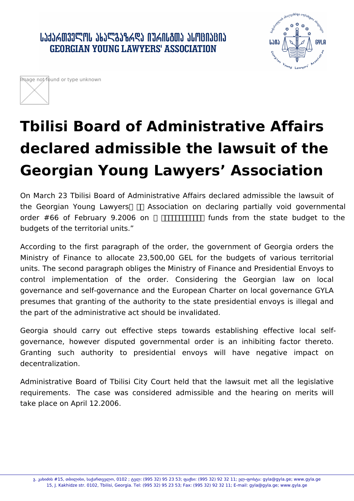ՄՆԴԻՑՈՑՅՐԱՐ ՄԲՆՐԱՆԻՐԻ ՄԵՐՏԱՐԱԿՈՒՄ ՄԵՐՏՈՒՄ **GEORGIAN YOUNG LAWYERS' ASSOCIATION** 





## **Tbilisi Board of Administrative Affairs declared admissible the lawsuit of the Georgian Young Lawyers' Association**

On March 23 Tbilisi Board of Administrative Affairs declared admissible the lawsuit of the Georgian Young Lawyers  $\Box$  Association on declaring partially void governmental order #66 of February 9.2006 on ᰀ䄀氀氀漀挀愀琀椀渀最 funds from the state budget to the budgets of the territorial units."

According to the first paragraph of the order, the government of Georgia orders the Ministry of Finance to allocate 23,500,00 GEL for the budgets of various territorial units. The second paragraph obliges the Ministry of Finance and Presidential Envoys to control implementation of the order. Considering the Georgian law on local governance and self-governance and the European Charter on local governance GYLA presumes that granting of the authority to the state presidential envoys is illegal and the part of the administrative act should be invalidated.

Georgia should carry out effective steps towards establishing effective local selfgovernance, however disputed governmental order is an inhibiting factor thereto. Granting such authority to presidential envoys will have negative impact on decentralization.

Administrative Board of Tbilisi City Court held that the lawsuit met all the legislative requirements. The case was considered admissible and the hearing on merits will take place on April 12.2006.